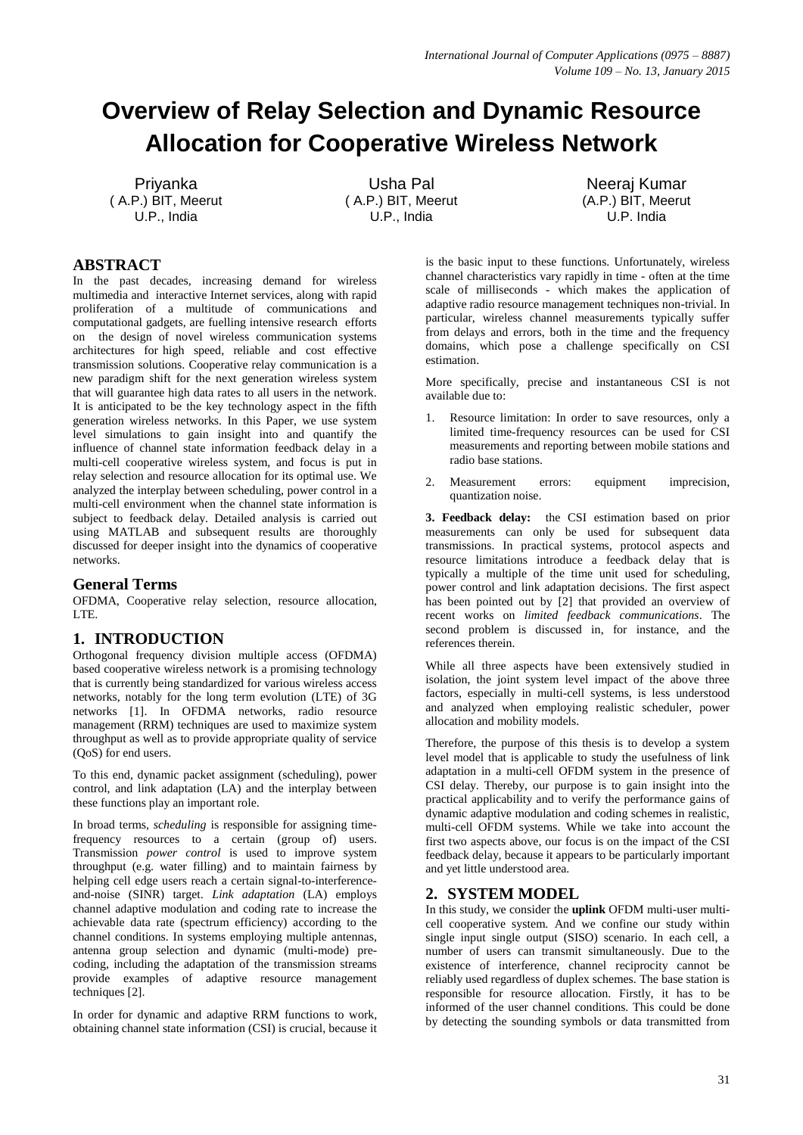# **Overview of Relay Selection and Dynamic Resource Allocation for Cooperative Wireless Network**

Priyanka ( A.P.) BIT, Meerut U.P., India

Usha Pal ( A.P.) BIT, Meerut U.P., India

Neeraj Kumar (A.P.) BIT, Meerut U.P. India

# **ABSTRACT**

In the past decades, increasing demand for wireless multimedia and interactive Internet services, along with rapid proliferation of a multitude of communications and computational gadgets, are fuelling intensive research efforts on the design of novel wireless communication systems architectures for high speed, reliable and cost effective transmission solutions. Cooperative relay communication is a new paradigm shift for the next generation wireless system that will guarantee high data rates to all users in the network. It is anticipated to be the key technology aspect in the fifth generation wireless networks. In this Paper, we use system level simulations to gain insight into and quantify the influence of channel state information feedback delay in a multi-cell cooperative wireless system, and focus is put in relay selection and resource allocation for its optimal use. We analyzed the interplay between scheduling, power control in a multi-cell environment when the channel state information is subject to feedback delay. Detailed analysis is carried out using MATLAB and subsequent results are thoroughly discussed for deeper insight into the dynamics of cooperative networks.

## **General Terms**

OFDMA, Cooperative relay selection, resource allocation, LTE.

## **1. INTRODUCTION**

Orthogonal frequency division multiple access (OFDMA) based cooperative wireless network is a promising technology that is currently being standardized for various wireless access networks, notably for the long term evolution (LTE) of 3G networks [\[1\].](#page-3-0) In OFDMA networks, radio resource management (RRM) techniques are used to maximize system throughput as well as to provide appropriate quality of service (QoS) for end users.

To this end, dynamic packet assignment (scheduling), power control, and link adaptation (LA) and the interplay between these functions play an important role.

In broad terms, *scheduling* is responsible for assigning timefrequency resources to a certain (group of) users. Transmission *power control* is used to improve system throughput (e.g. water filling) and to maintain fairness by helping cell edge users reach a certain signal-to-interferenceand-noise (SINR) target. *Link adaptation* (LA) employs channel adaptive modulation and coding rate to increase the achievable data rate (spectrum efficiency) according to the channel conditions. In systems employing multiple antennas, antenna group selection and dynamic (multi-mode) precoding, including the adaptation of the transmission streams provide examples of adaptive resource management technique[s \[2\].](#page-3-1)

In order for dynamic and adaptive RRM functions to work, obtaining channel state information (CSI) is crucial, because it is the basic input to these functions. Unfortunately, wireless channel characteristics vary rapidly in time - often at the time scale of milliseconds - which makes the application of adaptive radio resource management techniques non-trivial. In particular, wireless channel measurements typically suffer from delays and errors, both in the time and the frequency domains, which pose a challenge specifically on CSI estimation.

More specifically, precise and instantaneous CSI is not available due to:

- 1. Resource limitation: In order to save resources, only a limited time-frequency resources can be used for CSI measurements and reporting between mobile stations and radio base stations.
- 2. Measurement errors: equipment imprecision, quantization noise.

**3. Feedback delay:** the CSI estimation based on prior measurements can only be used for subsequent data transmissions. In practical systems, protocol aspects and resource limitations introduce a feedback delay that is typically a multiple of the time unit used for scheduling, power control and link adaptation decisions. The first aspect has been pointed out by [\[2\]](#page-3-1) that provided an overview of recent works on *limited feedback communications*. The second problem is discussed in, for instance, and the references therein.

While all three aspects have been extensively studied in isolation, the joint system level impact of the above three factors, especially in multi-cell systems, is less understood and analyzed when employing realistic scheduler, power allocation and mobility models.

Therefore, the purpose of this thesis is to develop a system level model that is applicable to study the usefulness of link adaptation in a multi-cell OFDM system in the presence of CSI delay. Thereby, our purpose is to gain insight into the practical applicability and to verify the performance gains of dynamic adaptive modulation and coding schemes in realistic, multi-cell OFDM systems. While we take into account the first two aspects above, our focus is on the impact of the CSI feedback delay, because it appears to be particularly important and yet little understood area.

## **2. SYSTEM MODEL**

In this study, we consider the **uplink** OFDM multi-user multicell cooperative system. And we confine our study within single input single output (SISO) scenario. In each cell, a number of users can transmit simultaneously. Due to the existence of interference, channel reciprocity cannot be reliably used regardless of duplex schemes. The base station is responsible for resource allocation. Firstly, it has to be informed of the user channel conditions. This could be done by detecting the sounding symbols or data transmitted from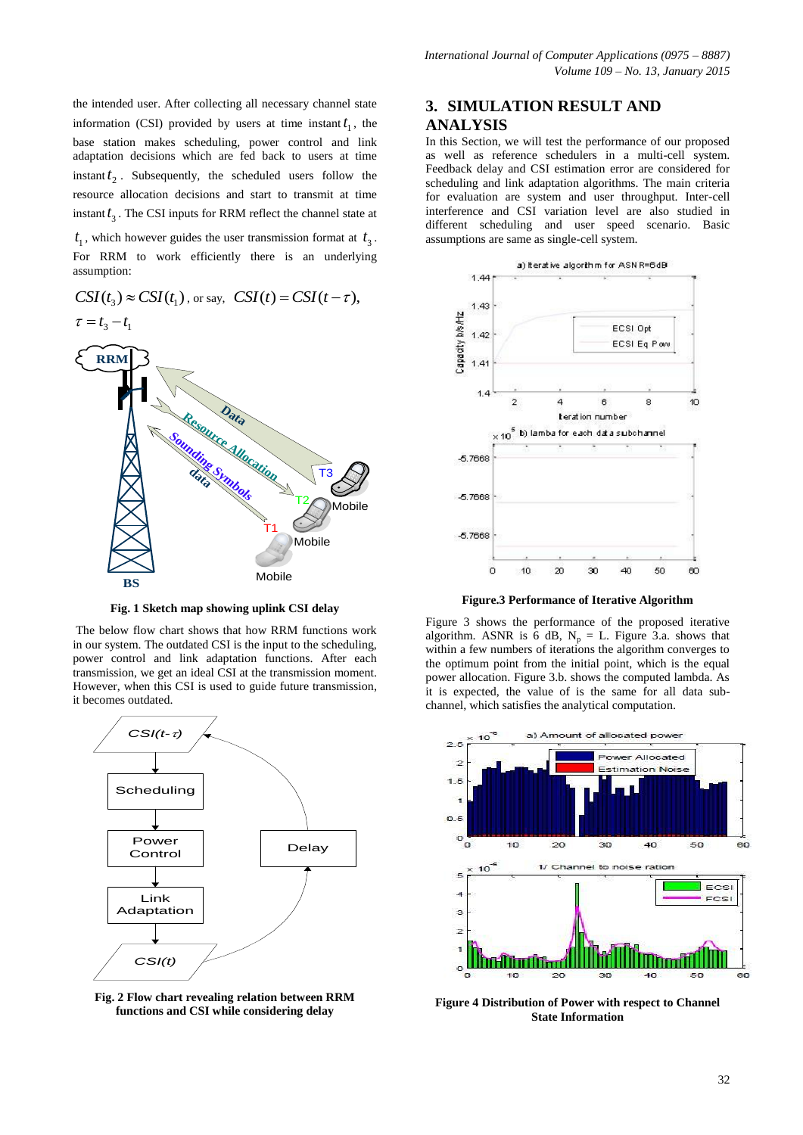the intended user. After collecting all necessary channel state information (CSI) provided by users at time instant  $t_1$ , the base station makes scheduling, power control and link adaptation decisions which are fed back to users at time  $t_1$ . Subsequently, the scheduled users follow the resource allocation decisions and start to transmit at time instant  $t_3$ . The CSI inputs for RRM reflect the channel state at

 $t_1$ , which however guides the user transmission format at  $t_3$ . For RRM to work efficiently there is an underlying assumption:



**Fig. 1 Sketch map showing uplink CSI delay** 

The below flow chart shows that how RRM functions work in our system. The outdated CSI is the input to the scheduling, power control and link adaptation functions. After each transmission, we get an ideal CSI at the transmission moment. However, when this CSI is used to guide future transmission, it becomes outdated.



**Fig. 2 Flow chart revealing relation between RRM functions and CSI while considering delay**

## **3. SIMULATION RESULT AND ANALYSIS**

In this Section, we will test the performance of our proposed as well as reference schedulers in a multi-cell system. Feedback delay and CSI estimation error are considered for scheduling and link adaptation algorithms. The main criteria for evaluation are system and user throughput. Inter-cell interference and CSI variation level are also studied in different scheduling and user speed scenario. Basic assumptions are same as single-cell system.



**Figure.3 Performance of Iterative Algorithm**

Figure 3 shows the performance of the proposed iterative algorithm. ASNR is 6 dB,  $N_p = L$ . Figure 3.a. shows that within a few numbers of iterations the algorithm converges to the optimum point from the initial point, which is the equal power allocation. Figure 3.b. shows the computed lambda. As it is expected, the value of is the same for all data subchannel, which satisfies the analytical computation.



**Figure 4 Distribution of Power with respect to Channel State Information**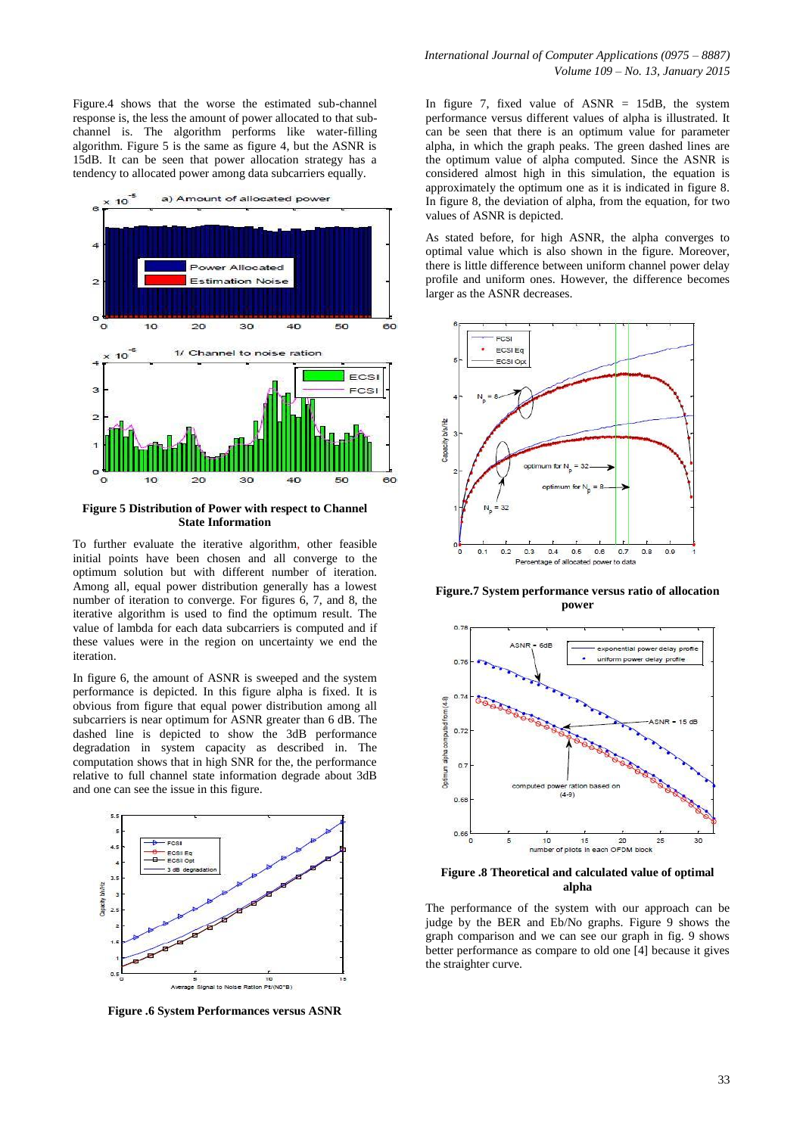Figure.4 shows that the worse the estimated sub-channel response is, the less the amount of power allocated to that subchannel is. The algorithm performs like water-filling algorithm. Figure 5 is the same as figure 4, but the ASNR is 15dB. It can be seen that power allocation strategy has a tendency to allocated power among data subcarriers equally.



#### **Figure 5 Distribution of Power with respect to Channel State Information**

To further evaluate the iterative algorithm, other feasible initial points have been chosen and all converge to the optimum solution but with different number of iteration. Among all, equal power distribution generally has a lowest number of iteration to converge. For figures 6, 7, and 8, the iterative algorithm is used to find the optimum result. The value of lambda for each data subcarriers is computed and if these values were in the region on uncertainty we end the iteration.

In figure 6, the amount of ASNR is sweeped and the system performance is depicted. In this figure alpha is fixed. It is obvious from figure that equal power distribution among all subcarriers is near optimum for ASNR greater than 6 dB. The dashed line is depicted to show the 3dB performance degradation in system capacity as described in. The computation shows that in high SNR for the, the performance relative to full channel state information degrade about 3dB and one can see the issue in this figure.



**Figure .6 System Performances versus ASNR**

In figure 7, fixed value of  $ASNR = 15dB$ , the system performance versus different values of alpha is illustrated. It can be seen that there is an optimum value for parameter alpha, in which the graph peaks. The green dashed lines are the optimum value of alpha computed. Since the ASNR is considered almost high in this simulation, the equation is approximately the optimum one as it is indicated in figure 8. In figure 8, the deviation of alpha, from the equation, for two values of ASNR is depicted.

As stated before, for high ASNR, the alpha converges to optimal value which is also shown in the figure. Moreover, there is little difference between uniform channel power delay profile and uniform ones. However, the difference becomes larger as the ASNR decreases.



**Figure.7 System performance versus ratio of allocation power**



**Figure .8 Theoretical and calculated value of optimal alpha**

The performance of the system with our approach can be judge by the BER and Eb/No graphs. Figure 9 shows the graph comparison and we can see our graph in fig. 9 shows better performance as compare to old one [4] because it gives the straighter curve.